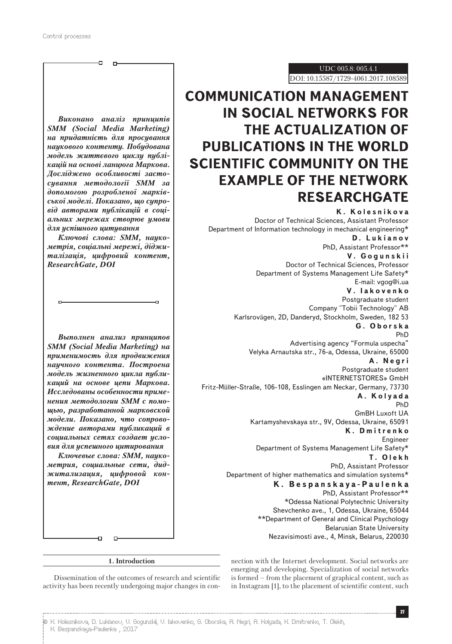UDC 005.8: 005.4.1 DOI: 10.15587/1729-4061.2017.108589

## **COMMUNICATION MANAGEMENT IN SOCIAL NETWORKS FOR THE ACTUALIZATION OF PUBLICATIONS IN THE WORLD SCIENTIFIC COMMUNITY ON THE EXAMPLE OF THE NETWORK RESEARCHGATE**

**K. Kolesnikova** Doctor of Technical Sciences, Assistant Professor Department of Information technology in mechanical engineering\* **D. Lukianov** PhD, Assistant Professor\*\* **V. Gogunskii** Doctor of Technical Sciences, Professor Department of Systems Management Life Safety\* E-mail: vgog@i.ua **V. Iakovenko** Postgraduate student Company "Tobii Technology" AB Karlsrovägen, 2D, Danderyd, Stockholm, Sweden, 182 53 **G. Oborska** PhD Advertising agency "Formula uspecha" Velyka Arnautska str., 76-a, Odessa, Ukraine, 65000 **A. Negri** Postgraduate student «INTERNETSTORES» GmbH Fritz-Müller-Straße, 106-108, Esslingen am Neckar, Germany, 73730 **A. Kolyada** PhD GmBH Luxoft UA Kartamyshevskaya str., 9V, Odessa, Ukraine, 65091 **K. Dmitrenko** Engineer Department of Systems Management Life Safety\* **T. Olekh** PhD, Assistant Professor Department of higher mathematics and simulation systems\* **K . B e s p a n s k a y a - P a u l e n k a**  PhD, Assistant Professor\*\* \*Odessa National Polytechnic University Shevchenko ave., 1, Odessa, Ukraine, 65044 \*\*Department of General and Clinical Psychology Belarusian State University Nezavisimosti ave., 4, Minsk, Belarus, 220030

*Виконано аналіз принципів SMM (Social Media Marketing) на придатність для просування наукового контенту. Побудована модель життєвого циклу публікацій на основі ланцюга Маркова. Досліджено особливості застосування методології SММ за допомогою розробленої марківської моделі. Показано, що супровід авторами публікацій в соціальних мережах створює умови для успішного цитування*

ō

*Ключові слова: SMM, наукометрія, соціальні мережі, діджиталізація, цифровий контент, ResearchGate, DOI*

J.

*Выполнен анализ принципов SMM (Social Media Marketing) на применимость для продвижения научного контента. Построена модель жизненного цикла публикаций на основе цепи Маркова. Исследованы особенности применения методологии SММ c помощью, разработанной марковской модели. Показано, что сопровождение авторами публикаций в социальных сетях создает условия для успешного цитирования*

*Ключевые слова: SMM, наукометрия, социальные сети, диджитализация, цифровой контент, ResearchGate, DOI*

> nection with the Internet development. Social networks are emerging and developing. Specialization of social networks is formed – from the placement of graphical content, such as in Instagram [1], to the placement of scientific content, such

### **1. Introduction**

Dissemination of the outcomes of research and scientific activity has been recently undergoing major changes in con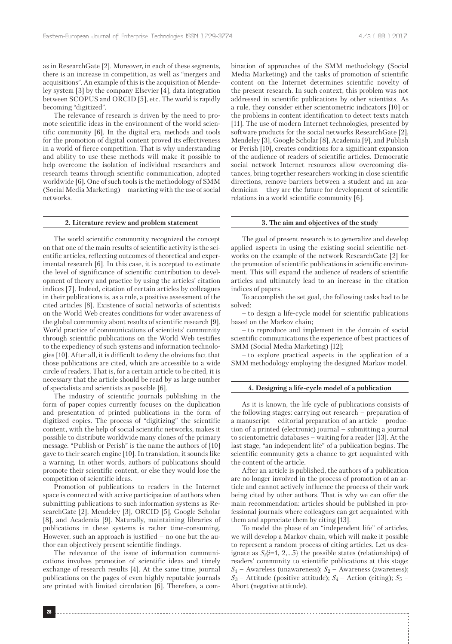as in ResearchGate [2]. Moreover, in each of these segments, there is an increase in competition, as well as "mergers and acquisitions". An example of this is the acquisition of Mendeley system [3] by the company Elsevier [4], data integration between SCOPUS and ORCID [5], etc. The world is rapidly becoming "digitized".

The relevance of research is driven by the need to promote scientific ideas in the environment of the world scientific community [6]. In the digital era, methods and tools for the promotion of digital content proved its effectiveness in a world of fierce competition. That is why understanding and ability to use these methods will make it possible to help overcome the isolation of individual researchers and research teams through scientific communication, adopted worldwide [6]. One of such tools is the methodology of SMM (Social Media Marketing) – marketing with the use of social networks.

#### **2. Literature review and problem statement**

The world scientific community recognized the concept on that one of the main results of scientific activity is the scientific articles, reflecting outcomes of theoretical and experimental research [6]. In this case, it is accepted to estimate the level of significance of scientific contribution to development of theory and practice by using the articles' citation indices [7]. Indeed, citation of certain articles by colleagues in their publications is, as a rule, a positive assessment of the cited articles [8]. Existence of social networks of scientists on the World Web creates conditions for wider awareness of the global community about results of scientific research [9]. World practice of communications of scientists' community through scientific publications on the World Web testifies to the expediency of such systems and information technologies [10]. After all, it is difficult to deny the obvious fact that those publications are cited, which are accessible to a wide circle of readers. That is, for a certain article to be cited, it is necessary that the article should be read by as large number of specialists and scientists as possible [6].

The industry of scientific journals publishing in the form of paper copies currently focuses on the duplication and presentation of printed publications in the form of digitized copies. The process of "digitizing" the scientific content, with the help of social scientific networks, makes it possible to distribute worldwide many clones of the primary message. "Publish or Perish" is the name the authors of [10] gave to their search engine [10]. In translation, it sounds like a warning. In other words, authors of publications should promote their scientific content, or else they would lose the competition of scientific ideas.

Promotion of publications to readers in the Internet space is connected with active participation of authors when submitting publications to such information systems as ResearchGate [2], Mendeley [3], ORCID [5], Google Scholar [8], and Academia [9]. Naturally, maintaining libraries of publications in these systems is rather time-consuming. However, such an approach is justified – no one but the author can objectively present scientific findings.

The relevance of the issue of information communications involves promotion of scientific ideas and timely exchange of research results [4]. At the same time, journal publications on the pages of even highly reputable journals are printed with limited circulation [6]. Therefore, a combination of approaches of the SMM methodology (Social Media Marketing) and the tasks of promotion of scientific content on the Internet determines scientific novelty of the present research. In such context, this problem was not addressed in scientific publications by other scientists. As a rule, they consider either scientometric indicators [10] or the problems in content identification to detect texts match [11]. The use of modern Internet technologies, presented by software products for the social networks ResearchGate [2], Mendeley [3], Google Scholar [8], Academia [9], and Publish or Perish [10], creates conditions for a significant expansion of the audience of readers of scientific articles. Democratic social network Internet resources allow overcoming distances, bring together researchers working in close scientific directions, remove barriers between a student and an academician – they are the future for development of scientific relations in a world scientific community [6].

#### **3. The aim and objectives of the study**

The goal of present research is to generalize and develop applied aspects in using the existing social scientific networks on the example of the network ResearchGate [2] for the promotion of scientific publications in scientific environment. This will expand the audience of readers of scientific articles and ultimately lead to an increase in the citation indices of papers.

To accomplish the set goal, the following tasks had to be solved:

– to design a life-cycle model for scientific publications based on the Markov chain;

– to reproduce and implement in the domain of social scientific communications the experience of best practices of SMM (Social Media Marketing) [12];

– to explore practical aspects in the application of a SMM methodology employing the designed Markov model.

#### **4. Designing a life-cycle model of a publication**

As it is known, the life cycle of publications consists of the following stages: carrying out research – preparation of a manuscript – editorial preparation of an article – production of a printed (electronic) journal – submitting a journal to scientometric databases – waiting for a reader [13]. At the last stage, "an independent life" of a publication begins. The scientific community gets a chance to get acquainted with the content of the article.

After an article is published, the authors of a publication are no longer involved in the process of promotion of an article and cannot actively influence the process of their work being cited by other authors. That is why we can offer the main recommendation: articles should be published in professional journals where colleagues can get acquainted with them and appreciate them by citing [13].

To model the phase of an "independent life" of articles, we will develop a Markov chain, which will make it possible to represent a random process of citing articles. Let us designate as  $S_i$ { $i=1, 2,...5$ } the possible states (relationships) of readers' community to scientific publications at this stage: *S*<sup>1</sup> – Awareless (unawareness); *S*2 – Awareness (awareness);  $S_3$  – Attitude (positive attitude);  $S_4$  – Action (citing);  $S_5$  – Abort (negative attitude).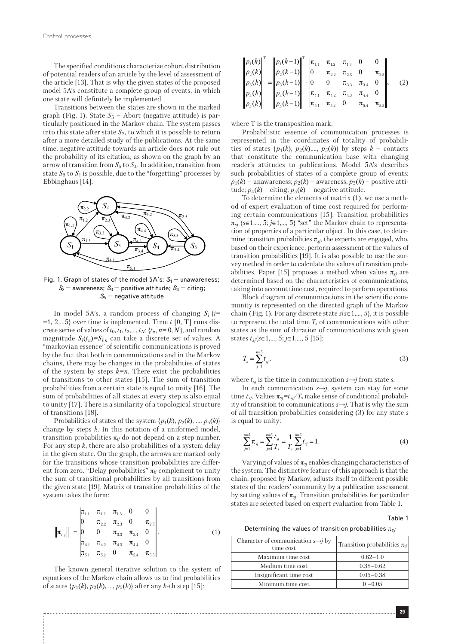The specified conditions characterize cohort distribution of potential readers of an article by the level of assessment of the article [13]. That is why the given states of the proposed model 5A's constitute a complete group of events, in which one state will definitely be implemented.

Transitions between the states are shown in the marked graph (Fig. 1). State  $S_5$  – Abort (negative attitude) is particularly positioned in the Markov chain. The system passes into this state after state  $S_2$ , to which it is possible to return after a more detailed study of the publications. At the same time, negative attitude towards an article does not rule out the probability of its citation, as shown on the graph by an arrow of transition from  $S_5$  to  $S_4$ . In addition, transition from state  $S_5$  to  $S_1$  is possible, due to the "forgetting" processes by Ebbinghaus [14].



Fig. 1. Graph of states of the model  $5A$ 's:  $S_1$  – unawareness; *S*2 – awareness; *S*3 – positive attitude; *S*4 – citing; *S*5 – negative attitude

In model 5A's, a random process of changing  $S_i$   $\{i=\}$  $=1, 2,...5$ } over time is implemented. Time *t* [0, T] runs discrete series of values of  $t_0$ ,  $t_1$ ,  $t_2$ ,...,  $t_N$ :  $\{t_n$ ,  $n=0$ ,  $N\}$ , and random magnitude  $S_i(t_n) = S_i|_n$  can take a discrete set of values. A "markovian essence" of scientific communications is proved by the fact that both in communications and in the Markov chains, there may be changes in the probabilities of states of the system by steps  $k=n$ . There exist the probabilities of transitions to other states [15]. The sum of transition probabilities from a certain state is equal to unity [16]. The sum of probabilities of all states at every step is also equal to unity [17]. There is a similarity of a topological structure of transitions [18].

Probabilities of states of the system  $\{p_1(k), p_2(k), ..., p_5(k)\}$ change by steps *k.* In this notation of a uniformed model, transition probabilities  $\pi_{ii}$  do not depend on a step number. For any step *k*, there are also probabilities of a system delay in the given state. On the graph, the arrows are marked only for the transitions whose transition probabilities are different from zero. "Delay probabilities" π*ii* complement to unity the sum of transitional probabilities by all transitions from the given state [19]. Matrix of transition probabilities of the system takes the form:

$$
\|\pi_{i,j}\| = \begin{vmatrix} \pi_{1,1} & \pi_{1,2} & \pi_{1,3} & 0 & 0 \\ 0 & \pi_{2,2} & \pi_{2,3} & 0 & \pi_{2,5} \\ 0 & 0 & \pi_{3,3} & \pi_{3,4} & 0 \\ \pi_{4,1} & \pi_{4,2} & \pi_{4,3} & \pi_{4,4} & 0 \\ \pi_{5,1} & \pi_{5,2} & 0 & \pi_{5,4} & \pi_{5,5} \end{vmatrix}.
$$
 (1)

The known general iterative solution to the system of equations of the Markov chain allows us to find probabilities of states  $\{p_1(k), p_2(k), ..., p_5(k)\}\$ after any *k*-th step [15]:

| $\left\ p_{_{1}}\!\left(k\right)\right\ ^{\mathrm{T}}_{_{\mathrm{I}}}$ |                                                                                                                                                                                                                                                                                                                                                                                |  |                         |             |             |     |
|------------------------------------------------------------------------|--------------------------------------------------------------------------------------------------------------------------------------------------------------------------------------------------------------------------------------------------------------------------------------------------------------------------------------------------------------------------------|--|-------------------------|-------------|-------------|-----|
|                                                                        |                                                                                                                                                                                                                                                                                                                                                                                |  |                         |             |             |     |
|                                                                        |                                                                                                                                                                                                                                                                                                                                                                                |  | $\pi_{3.3}$ $\pi_{3.4}$ |             |             | (2) |
|                                                                        |                                                                                                                                                                                                                                                                                                                                                                                |  | $\pi_{4.3}$ $\pi_{4.4}$ |             |             |     |
|                                                                        | $\begin{vmatrix} p_1(k) \\ p_2(k) \\ p_3(k) \\ p_4(k) \\ p_5(k) \end{vmatrix}^T = \begin{vmatrix} p_1(k-1) \\ p_2(k-1) \\ p_3(k-1) \\ p_4(k-1) \\ p_5(k-1) \end{vmatrix}^T \cdot \begin{vmatrix} \pi_{1,1} & \pi_{1,2} & \pi_{1,3} & (1) \\ 0 & \pi_{2,2} & \pi_{2,3} & (1) \\ 0 & 0 & \pi_{3,3} & 1 \\ \pi_{4,1} & \pi_{4,2} & \pi_{4,3} & 1 \\ \pi_{5,1} & \pi_{5,2} & 0 & $ |  |                         | $\pi_{5.4}$ | $\pi_{5.5}$ |     |

where T is the transposition mark.

Probabilistic essence of communication processes is represented in the coordinates of totality of probabilities of states  $\{p_1(k), p_2(k),..., p_5(k)\}\$  by steps  $k$  – contacts that constitute the communication base with changing reader's attitudes to publications. Model 5А's describes such probabilities of states of a complete group of events:  $p_1(k)$  – unawareness;  $p_2(k)$  – awareness;  $p_3(k)$  – positive attitude;  $p_4(k)$  – citing;  $p_5(k)$  – negative attitude.

To determine the elements of matrix (1), we use a method of expert evaluation of time cost required for performing certain communications [15]. Transition probabilities  $\pi_{si}$  { $s \in 1,..., 5$ ;  $j \in 1,..., 5$ } "set" the Markov chain to representation of properties of a particular object. In this case, to determine transition probabilities  $\pi_{sj}$ , the experts are engaged, who, based on their experience, perform assessment of the values of transition probabilities [19]. It is also possible to use the survey method in order to calculate the values of transition probabilities. Paper [15] proposes a method when values  $\pi_{si}$  are determined based on the characteristics of communications, taking into account time cost, required to perform operations.

Block diagram of communications in the scientific community is represented on the directed graph of the Markov chain (Fig. 1). For any discrete state  $s\{s \in 1, ..., 5\}$ , it is possible to represent the total time  $T_s$  of communications with other states as the sum of duration of communications with given states  $t_{si}$ { $s \in 1,..., 5; j \in 1,..., 5$  [15]:

$$
T_s = \sum_{j=1}^{n=5} t_{sj},\tag{3}
$$

where  $t_{si}$  is the time in communication  $s \rightarrow j$  from state *s*.

In each communication *s→j*, system can stay for some time  $t_{si}$ . Values  $\pi_{si} = t_{si}/T_s$  make sense of conditional probability of transition to communications *s*→*j*. That is why the sum of all transition probabilities considering (3) for any state *s* is equal to unity:

$$
\sum_{j=1}^{n=5} \pi_{sj} = \sum_{j=1}^{n=5} \frac{t_{sj}}{T_s} = \frac{1}{T_s} \sum_{j=1}^{n=5} t_{sj} = 1.
$$
 (4)

Varying of values of  $\pi_{sj}$  enables changing characteristics of the system. The distinctive feature of this approach is that the chain, proposed by Markov, adjusts itself to different possible states of the readers' community by a publication assessment by setting values of  $\pi_{si}$ . Transition probabilities for particular states are selected based on expert evaluation from Table 1.

Тable 1

Determining the values of transition probabilities  $\pi_{s}$ *j* 

| Character of communication $s \rightarrow j$ by<br>time cost | Transition probabilities $\pi_{si}$ |  |  |
|--------------------------------------------------------------|-------------------------------------|--|--|
| Maximum time cost                                            | $0.62 - 1.0$                        |  |  |
| Medium time cost                                             | $0.38 - 0.62$                       |  |  |
| Insignificant time cost                                      | $0.05 - 0.38$                       |  |  |
| Minimum time cost                                            | $0 - 0.05$                          |  |  |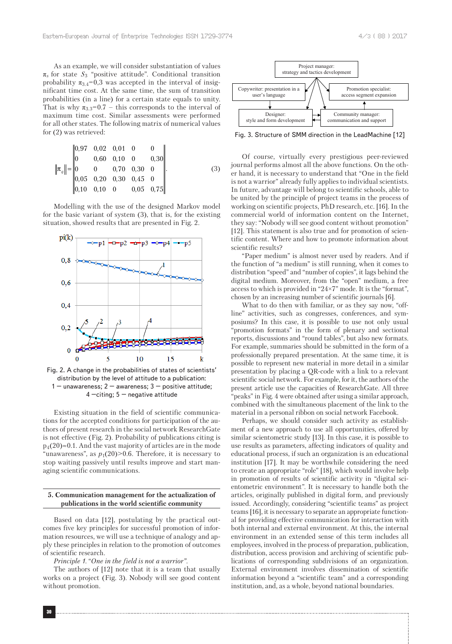As an example, we will consider substantiation of values  $\pi_s$  for state  $S_3$  "positive attitude". Conditional transition probability  $\pi_{3.4}$ =0,3 was accepted in the interval of insignificant time cost. At the same time, the sum of transition probabilities (in a line) for a certain state equals to unity. That is why  $\pi_{3,3}=0.7$  – this corresponds to the interval of maximum time cost. Similar assessments were performed for all other states. The following matrix of numerical values for (2) was retrieved:

$$
\|\pi_{ij}\| = \begin{vmatrix} 0.97 & 0.02 & 0.01 & 0 & 0 \\ 0 & 0.60 & 0.10 & 0 & 0.30 \\ 0 & 0 & 0.70 & 0.30 & 0 \\ 0.05 & 0.20 & 0.30 & 0.45 & 0 \\ 0.10 & 0.10 & 0 & 0.05 & 0.75 \end{vmatrix}.
$$
 (3)

Modelling with the use of the designed Markov model for the basic variant of system (3), that is, for the existing situation, showed results that are presented in Fig. 2.



Fig. 2. A change in the probabilities of states of scientists' distribution by the level of attitude to a publication: 1 – unawareness;  $2$  – awareness;  $3$  – positive attitude;  $4$  –citing;  $5$  – negative attitude

Existing situation in the field of scientific communications for the accepted conditions for participation of the authors of present research in the social network ResearchGate is not effective (Fig. 2). Probability of publications citing is  $p_4(20) \approx 0.1$ . And the vast majority of articles are in the mode "unawareness", as  $p_1(20)$ >0.6. Therefore, it is necessary to stop waiting passively until results improve and start managing scientific communications.

#### **5. Communication management for the actualization of publications in the world scientific community**

Based on data [12], postulating by the practical outcomes five key principles for successful promotion of information resources, we will use a technique of analogy and apply these principles in relation to the promotion of outcomes of scientific research.

*Principle 1*. "*One in the field is not a warrior".*

The authors of [12] note that it is a team that usually works on a project (Fig. 3). Nobody will see good content without promotion.



Fig. 3. Structure of SMM direction in the LeadMachine [12]

Of course, virtually every prestigious peer-reviewed journal performs almost all the above functions. On the other hand, it is necessary to understand that "One in the field is not a warrior" already fully applies to individual scientists. In future, advantage will belong to scientific schools, able to be united by the principle of project teams in the process of working on scientific projects, PhD research, etc. [16]. In the commercial world of information content on the Internet, they say: "Nobody will see good content without promotion" [12]. This statement is also true and for promotion of scientific content. Where and how to promote information about scientific results?

"Paper medium" is almost never used by readers. And if the function of "a medium" is still running, when it comes to distribution "speed" and "number of copies", it lags behind the digital medium. Moreover, from the "open" medium, a free access to which is provided in "24×7" mode. It is the "format", chosen by an increasing number of scientific journals [6].

What to do then with familiar, or as they say now, "offline" activities, such as congresses, conferences, and symposiums? In this case, it is possible to use not only usual "promotion formats" in the form of plenary and sectional reports, discussions and "round tables", but also new formats. For example, summaries should be submitted in the form of a professionally prepared presentation. At the same time, it is possible to represent new material in more detail in a similar presentation by placing a QR-code with a link to a relevant scientific social network. For example, for it, the authors of the present article use the capacities of ResearchGate. All three "peaks" in Fig. 4 were obtained after using a similar approach, combined with the simultaneous placement of the link to the material in a personal ribbon on social network Facebook.

Perhaps, we should consider such activity as establishment of a new approach to use all opportunities, offered by similar scientometric study [13]. In this case, it is possible to use results as parameters, affecting indicators of quality and educational process, if such an organization is an educational institution [17]. It may be worthwhile considering the need to create an appropriate "role" [18], which would involve help in promotion of results of scientific activity in "digital scientometric environment". It is necessary to handle both the articles, originally published in digital form, and previously issued. Accordingly, considering "scientific teams" as project teams [16], it is necessary to separate an appropriate functional for providing effective communication for interaction with both internal and external environment. At this, the internal environment in an extended sense of this term includes all employees, involved in the process of preparation, publication, distribution, access provision and archiving of scientific publications of corresponding subdivisions of an organization. External environment involves dissemination of scientific information beyond a "scientific team" and a corresponding institution, and, as a whole, beyond national boundaries.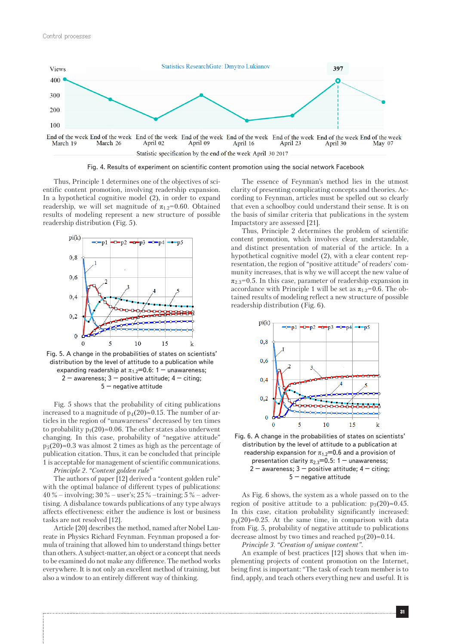

Fig. 4. Results of experiment on scientific content promotion using the social network Facebook

Thus, Principle 1 determines one of the objectives of scientific content promotion, involving readership expansion. In a hypothetical cognitive model (2), in order to expand readership, we will set magnitude of  $\pi_{1,2}=0.60$ . Obtained results of modeling represent a new structure of possible readership distribution (Fig. 5).



Fig. 5. A change in the probabilities of states on scientists' distribution by the level of attitude to a publication while expanding readership at  $\pi_{1.2}=0.6: 1$  – unawareness;  $2 -$  awareness;  $3 -$  positive attitude;  $4 -$  citing; 5 – negative attitude

Fig. 5 shows that the probability of citing publications increased to a magnitude of  $p_4(20) \approx 0.15$ . The number of articles in the region of "unawareness" decreased by ten times to probability  $p_1(20) \approx 0.06$ . The other states also underwent changing. In this case, probability of "negative attitude"  $p_5(20) \approx 0.3$  was almost 2 times as high as the percentage of publication citation. Thus, it can be concluded that principle 1 is acceptable for management of scientific communications.

*Principle 2. "Content golden rule"*

The authors of paper [12] derived a "content golden rule" with the optimal balance of different types of publications: 40 % – involving; 30 % – user's; 25 % –training; 5 % – advertising. A disbalance towards publications of any type always affects effectiveness: either the audience is lost or business tasks are not resolved [12].

Article [20] describes the method, named after Nobel Laureate in Physics Richard Feynman. Feynman proposed a formula of training that allowed him to understand things better than others. A subject-matter, an object or a concept that needs to be examined do not make any difference. The method works everywhere. It is not only an excellent method of training, but also a window to an entirely different way of thinking.

The essence of Feynman's method lies in the utmost clarity of presenting complicating concepts and theories. According to Feynman, articles must be spelled out so clearly that even a schoolboy could understand their sense. It is on the basis of similar criteria that publications in the system Impactstory are assessed [21].

Thus, Principle 2 determines the problem of scientific content promotion, which involves clear, understandable, and distinct presentation of material of the article. In a hypothetical cognitive model (2), with a clear content representation, the region of "positive attitude" of readers' community increases, that is why we will accept the new value of  $\pi_{2,3}=0.5$ . In this case, parameter of readership expansion in accordance with Principle 1 will be set as  $\pi_{1,2}=0.6$ . The obtained results of modeling reflect a new structure of possible readership distribution (Fig. 6).



Fig. 6. A change in the probabilities of states on scientists' distribution by the level of attitude to a publication at readership expansion for  $\pi_{1,2}=0.6$  and a provision of presentation clarity  $\pi_{2,3}=0.5$ : 1 – unawareness;  $2 -$  awareness;  $3 -$  positive attitude;  $4 -$  citing; 5 – negative attitude

As Fig. 6 shows, the system as a whole passed on to the region of positive attitude to a publication:  $p_3(20) \approx 0.45$ . In this case, citation probability significantly increased:  $p_4(20) \approx 0.25$ . At the same time, in comparison with data from Fig. 5, probability of negative attitude to publications decrease almost by two times and reached  $p_5(20) \approx 0.14$ .

*Principle 3. "Creation of unique content".*

An example of best practices [12] shows that when implementing projects of content promotion on the Internet, being first is important: "The task of each team member is to find, apply, and teach others everything new and useful. It is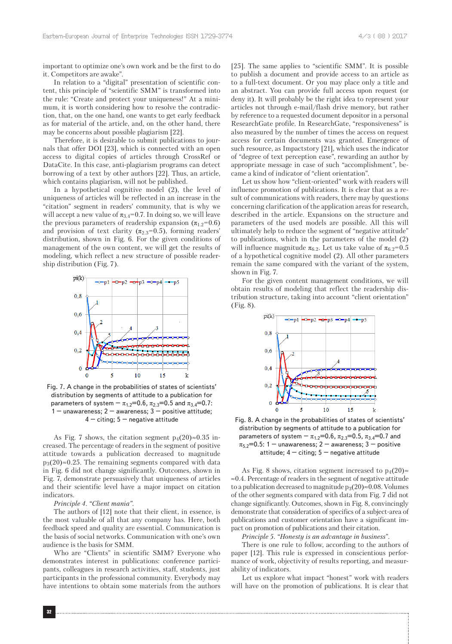important to optimize one's own work and be the first to do it. Competitors are awake".

In relation to a "digital" presentation of scientific content, this principle of "scientific SMM" is transformed into the rule: "Create and protect your uniqueness!" At a minimum, it is worth considering how to resolve the contradiction, that, on the one hand, one wants to get early feedback as for material of the article, and, on the other hand, there may be concerns about possible plagiarism [22].

Therefore, it is desirable to submit publications to journals that offer DOI [23], which is connected with an open access to digital copies of articles through CrossRef or DataCite. In this case, anti-plagiarism programs can detect borrowing of a text by other authors [22]. Thus, an article, which contains plagiarism, will not be published.

In a hypothetical cognitive model (2), the level of uniqueness of articles will be reflected in an increase in the "citation" segment in readers' community, that is why we will accept a new value of  $\pi_{3.4}$ =0.7. In doing so, we will leave the previous parameters of readership expansion  $(\pi_{1,2}=0.6)$ and provision of text clarity ( $\pi_{2,3}=0.5$ ), forming readers' distribution, shown in Fig. 6. For the given conditions of management of the own content, we will get the results of modeling, which reflect a new structure of possible readership distribution (Fig. 7).



Fig. 7. A change in the probabilities of states of scientists' distribution by segments of attitude to a publication for parameters of system –  $\pi_{1.2}$ =0.6,  $\pi_{2.3}$ =0.5 and  $\pi_{3.4}$ =0.7: 1 – unawareness;  $2$  – awareness;  $3$  – positive attitude;  $4 -$  citing;  $5 -$  negative attitude

As Fig. 7 shows, the citation segment  $p_4(20) \approx 0.35$  increased. The percentage of readers in the segment of positive attitude towards a publication decreased to magnitude  $p_3(20) \approx 0.25$ . The remaining segments compared with data in Fig. 6 did not change significantly. Outcomes, shown in Fig. 7, demonstrate persuasively that uniqueness of articles and their scientific level have a major impact on citation indicators.

#### *Principle 4. "Client mania".*

The authors of [12] note that their client, in essence, is the most valuable of all that any company has. Here, both feedback speed and quality are essential. Communication is the basis of social networks. Communication with one's own audience is the basis for SMM.

Who are "Clients" in scientific SMM? Everyone who demonstrates interest in publications: conference participants, colleagues in research activities, staff, students, just participants in the professional community. Everybody may have intentions to obtain some materials from the authors [25]. The same applies to "scientific SMM". It is possible to publish a document and provide access to an article as to a full-text document. Or you may place only a title and an abstract. You can provide full access upon request (or deny it). It will probably be the right idea to represent your articles not through e-mail/flash drive memory, but rather by reference to a requested document depositor in a personal ResearchGate profile. In ResearchGate, "responsiveness" is also measured by the number of times the access on request access for certain documents was granted. Emergence of such resource, as Impactstory [21], which uses the indicator of "degree of text perception ease", rewarding an author by appropriate message in case of such "accomplishment", became a kind of indicator of "client orientation".

Let us show how "client-oriented" work with readers will influence promotion of publications. It is clear that as a result of communications with readers, there may by questions concerning clarification of the application areas for research, described in the article. Expansions on the structure and parameters of the used models are possible. All this will ultimately help to reduce the segment of "negative attitude" to publications, which in the parameters of the model (2) will influence magnitude  $\pi_{6.2}$ . Let us take value of  $\pi_{6.2}=0.5$ of a hypothetical cognitive model (2). All other parameters remain the same compared with the variant of the system, shown in Fig. 7.

For the given content management conditions, we will obtain results of modeling that reflect the readership distribution structure, taking into account "client orientation" (Fig. 8).



Fig. 8. A change in the probabilities of states of scientists' distribution by segments of attitude to a publication for parameters of system –  $\pi_{1.2}$ =0.6,  $\pi_{2.3}$ =0.5,  $\pi_{3.4}$ =0.7 and  $\pi_{5.2}=0.5: 1$  – unawareness; 2 – awareness; 3 – positive attitude;  $4 -$  citing;  $5 -$  negative attitude

As Fig. 8 shows, citation segment increased to  $p_4(20)$  $\approx 0.4$ . Percentage of readers in the segment of negative attitude to a publication decreased to magnitude  $p_3(20) \approx 0.08$ . Volumes of the other segments compared with data from Fig. 7 did not change significantly. Outcomes, shown in Fig. 8, convincingly demonstrate that consideration of specifics of a subject-area of publications and customer orientation have a significant impact on promotion of publications and their citation.

*Principle 5. "Honesty is an advantage in business*".

There is one rule to follow, according to the authors of paper [12]. This rule is expressed in conscientious performance of work, objectivity of results reporting, and measurability of indicators.

Let us explore what impact "honest" work with readers will have on the promotion of publications. It is clear that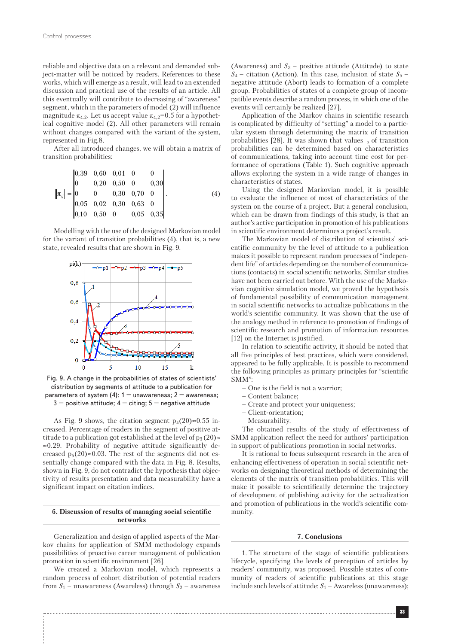reliable and objective data on a relevant and demanded subject-matter will be noticed by readers. References to these works, which will emerge as a result, will lead to an extended discussion and practical use of the results of an article. All this eventually will contribute to decreasing of "awareness" segment, which in the parameters of model (2) will influence magnitude  $\pi_{4,2}$ . Let us accept value  $\pi_{4,2}=0.5$  for a hypothetical cognitive model (2). All other parameters will remain without changes compared with the variant of the system, represented in Fig.8.

After all introduced changes, we will obtain a matrix of transition probabilities:

$$
\left\| \pi_{ij} \right\| = \begin{vmatrix} 0,39 & 0,60 & 0,01 & 0 & 0 \\ 0 & 0,20 & 0,50 & 0 & 0,30 \\ 0 & 0 & 0,30 & 0,70 & 0 \\ 0,05 & 0,02 & 0,30 & 0,63 & 0 \\ 0,10 & 0,50 & 0 & 0,05 & 0,35 \end{vmatrix}.
$$
 (4)

Modelling with the use of the designed Markovian model for the variant of transition probabilities (4), that is, a new state, revealed results that are shown in Fig. 9.



Fig. 9. A change in the probabilities of states of scientists' distribution by segments of attitude to a publication for parameters of system (4):  $1 -$  unawareness;  $2 -$  awareness;  $3$  – positive attitude;  $4$  – citing;  $5$  – negative attitude

As Fig. 9 shows, the citation segment  $p_4(20) \approx 0.55$  increased. Percentage of readers in the segment of positive attitude to a publication got established at the level of  $p_3(20)$  $\approx 0.29$ . Probability of negative attitude significantly decreased  $p_5(20) \approx 0.03$ . The rest of the segments did not essentially change compared with the data in Fig. 8. Results, shown in Fig. 9, do not contradict the hypothesis that objectivity of results presentation and data measurability have a significant impact on citation indices.

#### **6. Discussion of results of managing social scientific networks**

Generalization and design of applied aspects of the Markov chains for application of SMM methodology expands possibilities of proactive career management of publication promotion in scientific environment [26].

We created a Markovian model, which represents a random process of cohort distribution of potential readers from  $S_1$  – unawareness (Awareless) through  $S_2$  – awareness (Awareness) and  $S_3$  – positive attitude (Attitude) to state  $S_4$  – citation (Action). In this case, inclusion of state  $S_5$  – negative attitude (Abort) leads to formation of a complete group. Probabilities of states of a complete group of incompatible events describe a random process, in which one of the events will certainly be realized [27].

Application of the Markov chains in scientific research is complicated by difficulty of "setting" a model to a particular system through determining the matrix of transition probabilities [28]. It was shown that values  $_s$  of transition probabilities can be determined based on characteristics of communications, taking into account time cost for performance of operations (Table 1). Such cognitive approach allows exploring the system in a wide range of changes in characteristics of states.

Using the designed Markovian model, it is possible to evaluate the influence of most of characteristics of the system on the course of a project. But a general conclusion, which can be drawn from findings of this study, is that an author's active participation in promotion of his publications in scientific environment determines a project's result.

The Markovian model of distribution of scientists' scientific community by the level of attitude to a publication makes it possible to represent random processes of "independent life" of articles depending on the number of communications (contacts) in social scientific networks. Similar studies have not been carried out before. With the use of the Markovian cognitive simulation model, we proved the hypothesis of fundamental possibility of communication management in social scientific networks to actualize publications in the world's scientific community. It was shown that the use of the analogy method in reference to promotion of findings of scientific research and promotion of information resources [12] on the Internet is justified.

In relation to scientific activity, it should be noted that all five principles of best practices, which were considered, appeared to be fully applicable. It is possible to recommend the following principles as primary principles for "scientific SMM":

- One is the field is not a warrior;
- Content balance;
- Create and protect your uniqueness;
- Client-orientation;
- Measurability.

The obtained results of the study of effectiveness of SMM application reflect the need for authors' participation in support of publications promotion in social networks.

It is rational to focus subsequent research in the area of enhancing effectiveness of operation in social scientific networks on designing theoretical methods of determining the elements of the matrix of transition probabilities. This will make it possible to scientifically determine the trajectory of development of publishing activity for the actualization and promotion of publications in the world's scientific community.

#### **7. Conclusions**

1. The structure of the stage of scientific publications lifecycle, specifying the levels of perception of articles by readers' community, was proposed. Possible states of community of readers of scientific publications at this stage include such levels of attitude:  $S_1$  – Awareless (unawareness);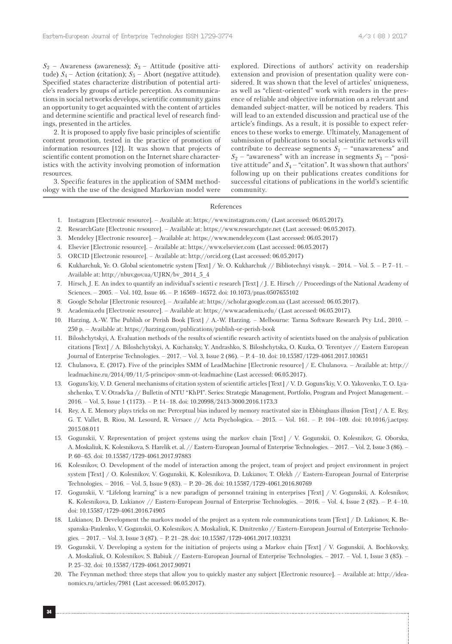$S_2$  – Awareness (awareness);  $S_3$  – Attitude (positive attitude)  $S_4$  – Action (citation);  $S_5$  – Abort (negative attitude). Specified states characterize distribution of potential article's readers by groups of article perception. As communications in social networks develops, scientific community gains an opportunity to get acquainted with the content of articles and determine scientific and practical level of research findings, presented in the articles.

2. It is proposed to apply five basic principles of scientific content promotion, tested in the practice of promotion of information resources [12]. It was shown that projects of scientific content promotion on the Internet share characteristics with the activity involving promotion of information resources.

3. Specific features in the application of SMM methodology with the use of the designed Markovian model were explored. Directions of authors' activity on readership extension and provision of presentation quality were considered. It was shown that the level of articles' uniqueness, as well as "client-oriented" work with readers in the presence of reliable and objective information on a relevant and demanded subject-matter, will be noticed by readers. This will lead to an extended discussion and practical use of the article's findings. As a result, it is possible to expect references to these works to emerge. Ultimately, Management of submission of publications to social scientific networks will contribute to decrease segments  $S_1$  – "unawareness" and  $S_2$  – "awareness" with an increase in segments  $S_3$  – "positive attitude" and  $S_4$  – "citation". It was shown that authors' following up on their publications creates conditions for successful citations of publications in the world's scientific community.

#### References

- 1. Instagram [Electronic resource]. Available at: https://www.instagram.com/ (Last accessed: 06.05.2017).
- 2. ResearchGate [Electronic resource]. Available at: https://www.researchgate.net (Last accessed: 06.05.2017).
- 3. Mendeley [Electronic resource]. Available at: https://www.mendeley.com (Last accessed: 06.05.2017)
- 4. Elsevier [Electronic resource]. Available at: https://www.elsevier.com (Last accessed: 06.05.2017)
- 5. ORCID [Electronic resource]. Available at: http://orcid.org (Last accessed: 06.05.2017)
- 6. Kukharchuk, Ye. O. Global scientometric system [Text] / Ye. O. Kukharchuk // Bibliotechnyi visnyk. 2014. Vol. 5. P. 7–11. Available at: http://nbuv.gov.ua/UJRN/bv\_2014\_5\_4
- 7. Hirsch, J. E. An index to quantify an individual's scienti c research [Text] / J. E. Hirsch // Proceedings of the National Academy of Sciences. – 2005. – Vol. 102, Issue 46. – P. 16569–16572. doi: 10.1073/pnas.0507655102
- 8. Google Scholar [Electronic resource]. Available at: https://scholar.google.com.ua (Last accessed: 06.05.2017).
- 9. Academia.edu [Electronic resource]. Available at: https://www.academia.edu/ (Last accessed: 06.05.2017).
- 10. Harzing, А.-W. The Publish or Perish Book [Text] / А.-W. Harzing. Melbourne: Tarma Software Research Pty Ltd., 2010. 250 p. – Available at: https://harzing.com/publications/publish-or-perish-book
- 11. Biloshchytskyi, А. Evaluation methods of the results of scientific research activity of scientists based on the analysis of publication citations [Text] / А. Biloshchytskyi, А. Kuchansky, Y. Andrashko, S. Biloshchytska, O. Kuzka, О. Terentyev // Eastern European Journal of Enterprise Technologies. – 2017. – Vol. 3, Issue 2 (86). – Р. 4–10. doi: 10.15587/1729-4061.2017.103651
- 12. Chulanova, E. (2017). Five of the principles SMM of LeadMachine [Electronic resource] / E. Chulanova. Available at: http:// leadmachine.ru/2014/09/11/5-principov-smm-ot-leadmachine (Last accessed: 06.05.2017).
- 13. Goguns'kiy, V. D. General mechanisms of citation system of scientific articles [Text] / V. D. Goguns'kiy, V. O. Yakovenko, T. O. Lyashchenko, T. V. Otrads'ka // Bulletin of NTU "KhPI". Series: Strategic Management, Portfolio, Program and Project Management. – 2016. – Vol. 5, Issue 1 (1173). – P. 14–18. doi: 10.20998/2413-3000.2016.1173.3
- 14. Rey, A. E. Memory plays tricks on me: Perceptual bias induced by memory reactivated size in Ebbinghaus illusion [Text] / A. E. Rey, G. T. Vallet, B. Riou, M. Lesourd, R. Versace // Acta Psychologica. – 2015. – Vol. 161. – P. 104–109. doi: 10.1016/j.actpsy. 2015.08.011
- 15. Gogunskii, V. Representation of project systems using the markov chain [Text] / V. Gogunskii, О. Kolesnikov, G. Oborska, A. Moskaliuk, K. Kolesnikova, S. Harelik et. al. // Eastern-European Journal of Enterprise Technologies. – 2017. – Vol. 2, Issue 3 (86). – P. 60–65. doi: 10.15587/1729-4061.2017.97883
- 16. Kolesnіkov, O. Development of the model of interaction among the project, team of project and project environment in project system [Text] / O. Kolesnіkov, V. Gogunskii, K. Kolesnіkova, D. Lukianov, T. Olekh // Eastern-European Journal of Enterprise Technologies. – 2016. – Vol. 5, Issue 9 (83). – P. 20–26. doi: 10.15587/1729-4061.2016.80769
- 17. Gogunskii, V. "Lifelong learning" is a new paradigm of personnel training in enterprises [Text] / V. Gogunskii, A. Kolesnіkov, K. Kolesnіkova, D. Lukianov // Eastern-European Journal of Enterprise Technologies. – 2016. – Vol. 4, Issue 2 (82). – Р. 4–10. doi: 10.15587/1729-4061.2016.74905
- 18. Lukianov, D. Development the markovs model of the project as a system role communications team [Text] / D. Lukianov, K. Bespanska-Paulenko, V. Gogunskii, O. Kolesnikov, A. Moskaliuk, K. Dmitrenko // Eastern-European Journal of Enterprise Technologies. – 2017. – Vol. 3, Issue 3 (87). – Р. 21–28. doi: 10.15587/1729-4061.2017.103231
- 19. Gogunskii, V. Developing a system for the initiation of projects using a Markov chain [Text] / V. Gogunskii, А. Bochkovsky, A. Moskaliuk, O. Kolesnikov, S. Babiuk // Eastern-European Journal of Enterprise Technologies. – 2017. – Vol. 1, Issue 3 (85). – P. 25–32. doi: 10.15587/1729-4061.2017.90971
- 20. The Feynman method: three steps that allow you to quickly master any subject [Electronic resource]. Available at: http://ideanomics.ru/articles/7981 (Last accessed: 06.05.2017).